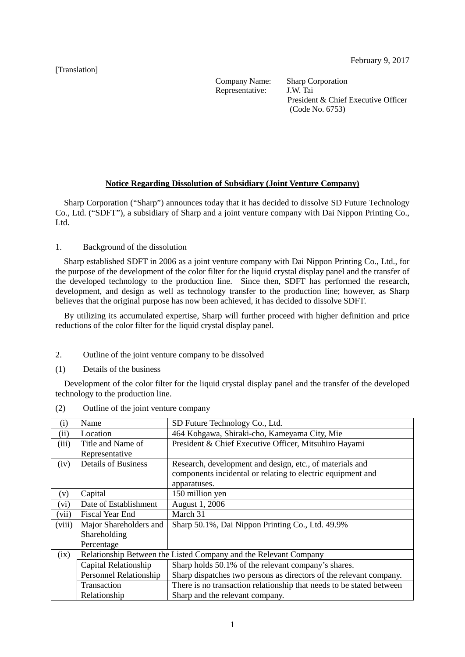[Translation]

Representative:

Company Name: Sharp Corporation<br>Representative: J.W. Tai President & Chief Executive Officer (Code No. 6753)

## **Notice Regarding Dissolution of Subsidiary (Joint Venture Company)**

Sharp Corporation ("Sharp") announces today that it has decided to dissolve SD Future Technology Co., Ltd. ("SDFT"), a subsidiary of Sharp and a joint venture company with Dai Nippon Printing Co., Ltd.

1. Background of the dissolution

Sharp established SDFT in 2006 as a joint venture company with Dai Nippon Printing Co., Ltd., for the purpose of the development of the color filter for the liquid crystal display panel and the transfer of the developed technology to the production line. Since then, SDFT has performed the research, development, and design as well as technology transfer to the production line; however, as Sharp believes that the original purpose has now been achieved, it has decided to dissolve SDFT.

By utilizing its accumulated expertise, Sharp will further proceed with higher definition and price reductions of the color filter for the liquid crystal display panel.

2. Outline of the joint venture company to be dissolved

(1) Details of the business

Development of the color filter for the liquid crystal display panel and the transfer of the developed technology to the production line.

| (i)    | Name                                                             | SD Future Technology Co., Ltd.                                       |  |
|--------|------------------------------------------------------------------|----------------------------------------------------------------------|--|
| (ii)   | Location                                                         | 464 Kohgawa, Shiraki-cho, Kameyama City, Mie                         |  |
| (iii)  | Title and Name of                                                | President & Chief Executive Officer, Mitsuhiro Hayami                |  |
|        | Representative                                                   |                                                                      |  |
| (iv)   | <b>Details of Business</b>                                       | Research, development and design, etc., of materials and             |  |
|        |                                                                  | components incidental or relating to electric equipment and          |  |
|        |                                                                  | apparatuses.                                                         |  |
| (v)    | Capital                                                          | 150 million yen                                                      |  |
| (vi)   | Date of Establishment                                            | August 1, 2006                                                       |  |
| (vii)  | Fiscal Year End                                                  | March 31                                                             |  |
| (viii) | Major Shareholders and                                           | Sharp 50.1%, Dai Nippon Printing Co., Ltd. 49.9%                     |  |
|        | Shareholding                                                     |                                                                      |  |
|        | Percentage                                                       |                                                                      |  |
| (ix)   | Relationship Between the Listed Company and the Relevant Company |                                                                      |  |
|        | Capital Relationship                                             | Sharp holds 50.1% of the relevant company's shares.                  |  |
|        | Personnel Relationship                                           | Sharp dispatches two persons as directors of the relevant company.   |  |
|        | Transaction                                                      | There is no transaction relationship that needs to be stated between |  |
|        | Relationship                                                     | Sharp and the relevant company.                                      |  |

(2) Outline of the joint venture company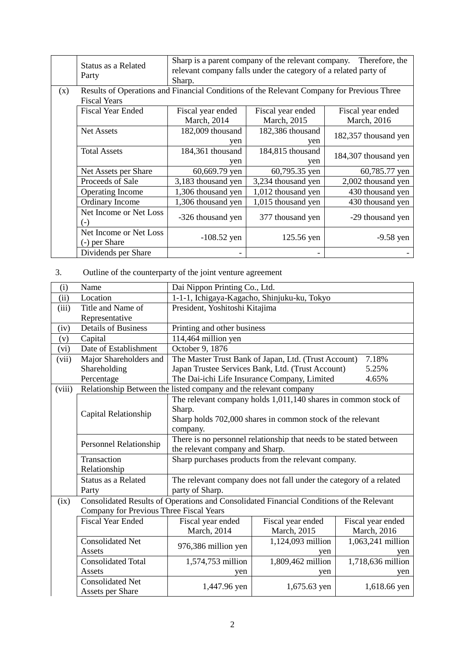|     | Status as a Related<br>Party            | Sharp.                                                                                    | Sharp is a parent company of the relevant company.<br>relevant company falls under the category of a related party of | Therefore, the                   |  |  |
|-----|-----------------------------------------|-------------------------------------------------------------------------------------------|-----------------------------------------------------------------------------------------------------------------------|----------------------------------|--|--|
| (x) | <b>Fiscal Years</b>                     | Results of Operations and Financial Conditions of the Relevant Company for Previous Three |                                                                                                                       |                                  |  |  |
|     | <b>Fiscal Year Ended</b>                | Fiscal year ended<br>March, 2014                                                          | Fiscal year ended<br>March, 2015                                                                                      | Fiscal year ended<br>March, 2016 |  |  |
|     | Net Assets                              | 182,009 thousand<br>yen                                                                   | 182,386 thousand<br>yen                                                                                               | 182,357 thousand yen             |  |  |
|     | <b>Total Assets</b>                     | 184,361 thousand<br>yen                                                                   | 184,815 thousand<br>yen                                                                                               | 184,307 thousand yen             |  |  |
|     | Net Assets per Share                    | 60,669.79 yen                                                                             | 60,795.35 yen                                                                                                         | 60,785.77 yen                    |  |  |
|     | Proceeds of Sale                        | 3,183 thousand yen                                                                        | 3,234 thousand yen                                                                                                    | 2,002 thousand yen               |  |  |
|     | <b>Operating Income</b>                 | 1,306 thousand yen                                                                        | 1,012 thousand yen                                                                                                    | 430 thousand yen                 |  |  |
|     | Ordinary Income                         | 1,306 thousand yen                                                                        | 1,015 thousand yen                                                                                                    | 430 thousand yen                 |  |  |
|     | Net Income or Net Loss<br>(-)           | -326 thousand yen                                                                         | 377 thousand yen                                                                                                      | -29 thousand yen                 |  |  |
|     | Net Income or Net Loss<br>(-) per Share | $-108.52$ yen                                                                             | 125.56 yen                                                                                                            | $-9.58$ yen                      |  |  |
|     | Dividends per Share                     |                                                                                           |                                                                                                                       |                                  |  |  |

## 3. Outline of the counterparty of the joint venture agreement

| (i)    | Name                                                                                                | Dai Nippon Printing Co., Ltd.                                    |                                                                    |                   |  |  |
|--------|-----------------------------------------------------------------------------------------------------|------------------------------------------------------------------|--------------------------------------------------------------------|-------------------|--|--|
| (ii)   | Location                                                                                            | 1-1-1, Ichigaya-Kagacho, Shinjuku-ku, Tokyo                      |                                                                    |                   |  |  |
| (iii)  | Title and Name of                                                                                   | President, Yoshitoshi Kitajima                                   |                                                                    |                   |  |  |
|        | Representative                                                                                      |                                                                  |                                                                    |                   |  |  |
| (iv)   | <b>Details of Business</b>                                                                          | Printing and other business                                      |                                                                    |                   |  |  |
| (v)    | Capital                                                                                             | 114,464 million yen                                              |                                                                    |                   |  |  |
| (vi)   | Date of Establishment                                                                               | October 9, 1876                                                  |                                                                    |                   |  |  |
| (vii)  | Major Shareholders and                                                                              | The Master Trust Bank of Japan, Ltd. (Trust Account)<br>7.18%    |                                                                    |                   |  |  |
|        | Shareholding                                                                                        | Japan Trustee Services Bank, Ltd. (Trust Account)<br>5.25%       |                                                                    |                   |  |  |
|        | Percentage                                                                                          | The Dai-ichi Life Insurance Company, Limited<br>4.65%            |                                                                    |                   |  |  |
| (viii) |                                                                                                     | Relationship Between the listed company and the relevant company |                                                                    |                   |  |  |
|        |                                                                                                     |                                                                  | The relevant company holds 1,011,140 shares in common stock of     |                   |  |  |
|        | Capital Relationship                                                                                | Sharp.                                                           |                                                                    |                   |  |  |
|        |                                                                                                     | Sharp holds 702,000 shares in common stock of the relevant       |                                                                    |                   |  |  |
|        |                                                                                                     | company.                                                         |                                                                    |                   |  |  |
|        | There is no personnel relationship that needs to be stated between<br><b>Personnel Relationship</b> |                                                                  |                                                                    |                   |  |  |
|        |                                                                                                     | the relevant company and Sharp.                                  |                                                                    |                   |  |  |
|        | Transaction                                                                                         | Sharp purchases products from the relevant company.              |                                                                    |                   |  |  |
|        | Relationship                                                                                        |                                                                  |                                                                    |                   |  |  |
|        | Status as a Related                                                                                 |                                                                  | The relevant company does not fall under the category of a related |                   |  |  |
|        | Party                                                                                               | party of Sharp.                                                  |                                                                    |                   |  |  |
| (ix)   | Consolidated Results of Operations and Consolidated Financial Conditions of the Relevant            |                                                                  |                                                                    |                   |  |  |
|        | Company for Previous Three Fiscal Years                                                             |                                                                  |                                                                    |                   |  |  |
|        | <b>Fiscal Year Ended</b>                                                                            | Fiscal year ended                                                | Fiscal year ended                                                  | Fiscal year ended |  |  |
|        |                                                                                                     | March, 2014                                                      | March, 2015                                                        | March, 2016       |  |  |
|        | <b>Consolidated Net</b>                                                                             |                                                                  | 1,124,093 million                                                  | 1,063,241 million |  |  |
|        | Assets                                                                                              | 976,386 million yen                                              | yen                                                                | yen               |  |  |
|        | <b>Consolidated Total</b>                                                                           | 1,574,753 million                                                | 1,809,462 million                                                  | 1,718,636 million |  |  |
|        | Assets                                                                                              | yen                                                              | yen                                                                | yen               |  |  |
|        | <b>Consolidated Net</b>                                                                             | 1,447.96 yen                                                     | 1,675.63 yen                                                       | 1,618.66 yen      |  |  |
|        | <b>Assets per Share</b>                                                                             |                                                                  |                                                                    |                   |  |  |